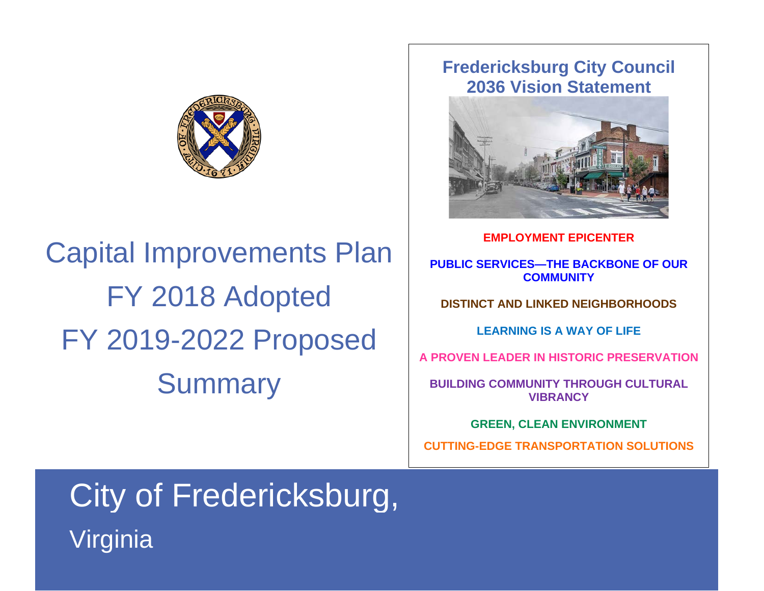

Capital Improvements Plan FY 2018 Adopted FY 2019-2022 Proposed **Summary** 

## **Fredericksburg City Council 2036 Vision Statement**



**EMPLOYMENT EPICENTER**

**PUBLIC SERVICES—THE BACKBONE OF OUR COMMUNITY**

**DISTINCT AND LINKED NEIGHBORHOODS**

**LEARNING IS A WAY OF LIFE**

**A PROVEN LEADER IN HISTORIC PRESERVATION**

**BUILDING COMMUNITY THROUGH CULTURAL VIBRANCY**

**GREEN, CLEAN ENVIRONMENT**

**CUTTING-EDGE TRANSPORTATION SOLUTIONS**

## City of Fredericksburg, Virginia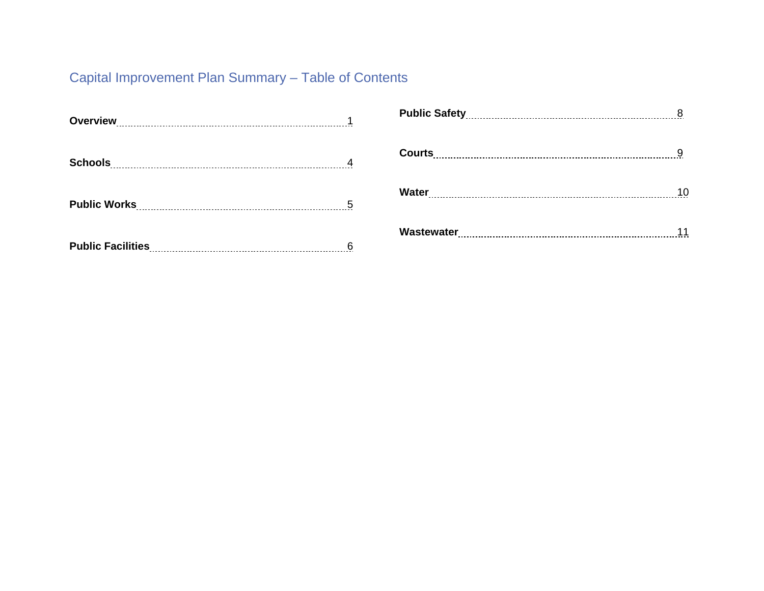## Capital Improvement Plan Summary – Table of Contents

| 5 |
|---|
|   |

| 10 |
|----|
|    |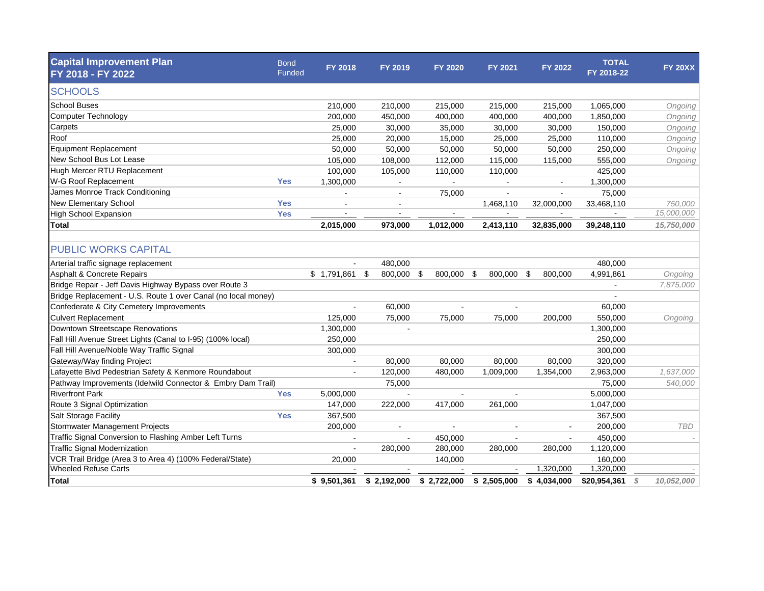| <b>Capital Improvement Plan</b><br>FY 2018 - FY 2022          | <b>Bond</b><br>Funded | FY 2018     | FY 2019            | FY 2020     | <b>FY 2021</b> | <b>FY 2022</b> | <b>TOTAL</b><br>FY 2018-22 | <b>FY 20XX</b>  |
|---------------------------------------------------------------|-----------------------|-------------|--------------------|-------------|----------------|----------------|----------------------------|-----------------|
| <b>SCHOOLS</b>                                                |                       |             |                    |             |                |                |                            |                 |
|                                                               |                       |             |                    |             |                |                |                            |                 |
| <b>School Buses</b>                                           |                       | 210,000     | 210,000            | 215,000     | 215,000        | 215,000        | 1,065,000                  | Ongoing         |
| <b>Computer Technology</b>                                    |                       | 200,000     | 450,000            | 400,000     | 400,000        | 400,000        | 1,850,000                  | Ongoing         |
| Carpets                                                       |                       | 25,000      | 30,000             | 35,000      | 30,000         | 30,000         | 150,000                    | Ongoing         |
| Roof                                                          |                       | 25,000      | 20,000             | 15,000      | 25,000         | 25,000         | 110,000                    | Ongoing         |
| <b>Equipment Replacement</b>                                  |                       | 50,000      | 50,000             | 50,000      | 50,000         | 50,000         | 250,000                    | Ongoing         |
| New School Bus Lot Lease                                      |                       | 105,000     | 108,000            | 112,000     | 115,000        | 115,000        | 555,000                    | Ongoing         |
| Hugh Mercer RTU Replacement                                   |                       | 100,000     | 105,000            | 110,000     | 110,000        |                | 425,000                    |                 |
| W-G Roof Replacement                                          | <b>Yes</b>            | 1,300,000   |                    |             |                |                | 1,300,000                  |                 |
| James Monroe Track Conditioning                               |                       |             |                    | 75,000      |                |                | 75,000                     |                 |
| New Elementary School                                         | <b>Yes</b>            |             |                    |             | 1,468,110      | 32,000,000     | 33,468,110                 | 750,000         |
| <b>High School Expansion</b>                                  | <b>Yes</b>            |             |                    |             |                |                |                            | 15,000,000      |
| Total                                                         |                       | 2,015,000   | 973,000            | 1,012,000   | 2,413,110      | 32,835,000     | 39,248,110                 | 15,750,000      |
| <b>PUBLIC WORKS CAPITAL</b>                                   |                       |             |                    |             |                |                |                            |                 |
| Arterial traffic signage replacement                          |                       |             | 480,000            |             |                |                | 480,000                    |                 |
| <b>Asphalt &amp; Concrete Repairs</b>                         |                       | \$1,791,861 | - \$<br>800,000 \$ | 800,000     | -\$<br>800,000 | -\$<br>800,000 | 4,991,861                  | Ongoing         |
| Bridge Repair - Jeff Davis Highway Bypass over Route 3        |                       |             |                    |             |                |                |                            | 7,875,000       |
| Bridge Replacement - U.S. Route 1 over Canal (no local money) |                       |             |                    |             |                |                |                            |                 |
| Confederate & City Cemetery Improvements                      |                       |             | 60,000             |             |                |                | 60,000                     |                 |
| <b>Culvert Replacement</b>                                    |                       | 125,000     | 75,000             | 75,000      | 75,000         | 200,000        | 550,000                    | Ongoing         |
| Downtown Streetscape Renovations                              |                       | 1,300,000   |                    |             |                |                | 1,300,000                  |                 |
| Fall Hill Avenue Street Lights (Canal to I-95) (100% local)   |                       | 250,000     |                    |             |                |                | 250,000                    |                 |
| Fall Hill Avenue/Noble Way Traffic Signal                     |                       | 300,000     |                    |             |                |                | 300,000                    |                 |
| Gateway/Way finding Project                                   |                       |             | 80,000             | 80,000      | 80,000         | 80,000         | 320,000                    |                 |
| Lafayette Blvd Pedestrian Safety & Kenmore Roundabout         |                       |             | 120,000            | 480,000     | 1,009,000      | 1,354,000      | 2,963,000                  | 1,637,000       |
| Pathway Improvements (Idelwild Connector & Embry Dam Trail)   |                       |             | 75,000             |             |                |                | 75,000                     | 540,000         |
| <b>Riverfront Park</b>                                        | <b>Yes</b>            | 5,000,000   |                    |             |                |                | 5,000,000                  |                 |
| Route 3 Signal Optimization                                   |                       | 147,000     | 222,000            | 417,000     | 261,000        |                | 1,047,000                  |                 |
| Salt Storage Facility                                         | <b>Yes</b>            | 367,500     |                    |             |                |                | 367,500                    |                 |
| Stormwater Management Projects                                |                       | 200,000     |                    | $\sim$      |                |                | 200,000                    | <b>TBD</b>      |
| Traffic Signal Conversion to Flashing Amber Left Turns        |                       | $\sim$      |                    | 450,000     |                | $\sim$         | 450,000                    |                 |
| <b>Traffic Signal Modernization</b>                           |                       |             | 280,000            | 280,000     | 280,000        | 280,000        | 1,120,000                  |                 |
| VCR Trail Bridge (Area 3 to Area 4) (100% Federal/State)      |                       | 20,000      |                    | 140,000     |                |                | 160,000                    |                 |
| <b>Wheeled Refuse Carts</b>                                   |                       |             |                    |             |                | 1,320,000      | 1,320,000                  |                 |
| <b>Total</b>                                                  |                       | \$9,501,361 | \$2,192,000        | \$2,722,000 | \$2,505,000    | \$4,034,000    | \$20,954,361               | 10,052,000<br>S |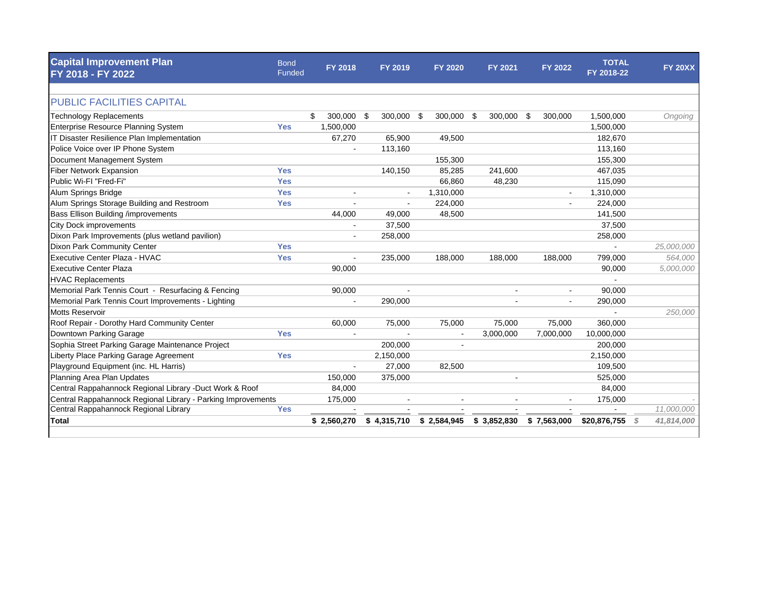| <b>Capital Improvement Plan</b><br>FY 2018 - FY 2022         | <b>Bond</b><br>Funded | <b>FY 2018</b>           | FY 2019        | <b>FY 2020</b> | <b>FY 2021</b> | <b>FY 2022</b> | <b>TOTAL</b><br>FY 2018-22 | <b>FY 20XX</b>  |
|--------------------------------------------------------------|-----------------------|--------------------------|----------------|----------------|----------------|----------------|----------------------------|-----------------|
|                                                              |                       |                          |                |                |                |                |                            |                 |
| <b>PUBLIC FACILITIES CAPITAL</b>                             |                       |                          |                |                |                |                |                            |                 |
| <b>Technology Replacements</b>                               |                       | 300,000 \$<br>\$         | 300,000        | 300,000<br>-\$ | \$<br>300,000  | \$<br>300,000  | 1,500,000                  | Ongoing         |
| Enterprise Resource Planning System                          | <b>Yes</b>            | 1,500,000                |                |                |                |                | 1,500,000                  |                 |
| IT Disaster Resilience Plan Implementation                   |                       | 67,270                   | 65,900         | 49,500         |                |                | 182,670                    |                 |
| Police Voice over IP Phone System                            |                       |                          | 113,160        |                |                |                | 113,160                    |                 |
| Document Management System                                   |                       |                          |                | 155,300        |                |                | 155,300                    |                 |
| Fiber Network Expansion                                      | <b>Yes</b>            |                          | 140,150        | 85,285         | 241,600        |                | 467,035                    |                 |
| Public Wi-FI "Fred-Fi"                                       | <b>Yes</b>            |                          |                | 66,860         | 48,230         |                | 115,090                    |                 |
| Alum Springs Bridge                                          | <b>Yes</b>            | $\blacksquare$           | $\blacksquare$ | 1,310,000      |                | $\blacksquare$ | 1,310,000                  |                 |
| Alum Springs Storage Building and Restroom                   | <b>Yes</b>            |                          |                | 224,000        |                | $\blacksquare$ | 224,000                    |                 |
| Bass Ellison Building /improvements                          |                       | 44,000                   | 49,000         | 48,500         |                |                | 141,500                    |                 |
| <b>City Dock improvements</b>                                |                       |                          | 37,500         |                |                |                | 37,500                     |                 |
| Dixon Park Improvements (plus wetland pavilion)              |                       |                          | 258,000        |                |                |                | 258,000                    |                 |
| Dixon Park Community Center                                  | <b>Yes</b>            |                          |                |                |                |                |                            | 25,000,000      |
| Executive Center Plaza - HVAC                                | <b>Yes</b>            |                          | 235,000        | 188,000        | 188,000        | 188,000        | 799,000                    | 564,000         |
| Executive Center Plaza                                       |                       | 90,000                   |                |                |                |                | 90,000                     | 5,000,000       |
| <b>HVAC Replacements</b>                                     |                       |                          |                |                |                |                |                            |                 |
| Memorial Park Tennis Court - Resurfacing & Fencing           |                       | 90,000                   | $\sim$         |                | $\sim$         |                | 90,000                     |                 |
| Memorial Park Tennis Court Improvements - Lighting           |                       | $\sim$                   | 290,000        |                |                |                | 290,000                    |                 |
| <b>Motts Reservoir</b>                                       |                       |                          |                |                |                |                |                            | 250,000         |
| Roof Repair - Dorothy Hard Community Center                  |                       | 60,000                   | 75,000         | 75,000         | 75,000         | 75,000         | 360,000                    |                 |
| Downtown Parking Garage                                      | <b>Yes</b>            |                          |                |                | 3,000,000      | 7,000,000      | 10,000,000                 |                 |
| Sophia Street Parking Garage Maintenance Project             |                       |                          | 200,000        |                |                |                | 200,000                    |                 |
| Liberty Place Parking Garage Agreement                       | <b>Yes</b>            |                          | 2,150,000      |                |                |                | 2,150,000                  |                 |
| Playground Equipment (inc. HL Harris)                        |                       | $\overline{\phantom{a}}$ | 27,000         | 82,500         |                |                | 109,500                    |                 |
| Planning Area Plan Updates                                   |                       | 150,000                  | 375,000        |                |                |                | 525,000                    |                 |
| Central Rappahannock Regional Library -Duct Work & Roof      |                       | 84,000                   |                |                |                |                | 84,000                     |                 |
| Central Rappahannock Regional Library - Parking Improvements |                       | 175,000                  |                |                |                |                | 175,000                    |                 |
| Central Rappahannock Regional Library                        | <b>Yes</b>            |                          |                |                |                |                |                            | 11,000,000      |
| <b>Total</b>                                                 |                       | \$2,560,270              | \$4,315,710    | \$2,584,945    | \$3,852,830    | \$7,563,000    | \$20,876,755               | 41,814,000<br>S |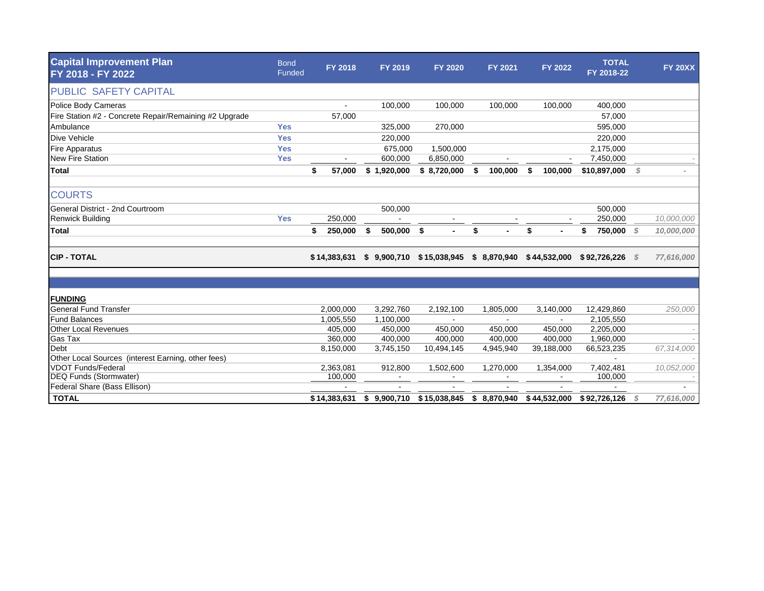| <b>Capital Improvement Plan</b><br>FY 2018 - FY 2022   | <b>Bond</b><br>Funded | <b>FY 2018</b> | FY 2019          | <b>FY 2020</b> | <b>FY 2021</b> | <b>FY 2022</b> | <b>TOTAL</b><br>FY 2018-22 |      | <b>FY 20XX</b> |
|--------------------------------------------------------|-----------------------|----------------|------------------|----------------|----------------|----------------|----------------------------|------|----------------|
| PUBLIC SAFETY CAPITAL                                  |                       |                |                  |                |                |                |                            |      |                |
| <b>Police Body Cameras</b>                             |                       |                | 100,000          | 100,000        | 100,000        | 100,000        | 400,000                    |      |                |
| Fire Station #2 - Concrete Repair/Remaining #2 Upgrade |                       | 57,000         |                  |                |                |                | 57,000                     |      |                |
| Ambulance                                              | <b>Yes</b>            |                | 325,000          | 270,000        |                |                | 595,000                    |      |                |
| <b>Dive Vehicle</b>                                    | <b>Yes</b>            |                | 220,000          |                |                |                | 220,000                    |      |                |
| <b>Fire Apparatus</b>                                  | <b>Yes</b>            |                | 675,000          | 1,500,000      |                |                | 2,175,000                  |      |                |
| <b>New Fire Station</b>                                | <b>Yes</b>            |                | 600,000          | 6,850,000      |                |                | 7,450,000                  |      |                |
| <b>Total</b>                                           |                       | \$<br>57,000   | \$1,920,000      | \$8,720,000    | 100,000<br>\$  | 100,000<br>\$  | \$10,897,000               | S    |                |
| <b>COURTS</b>                                          |                       |                |                  |                |                |                |                            |      |                |
| General District - 2nd Courtroom                       |                       |                | 500,000          |                |                |                | 500,000                    |      |                |
| <b>Renwick Building</b>                                | <b>Yes</b>            | 250,000        |                  |                |                |                | 250,000                    |      | 10,000,000     |
| <b>Total</b>                                           |                       | \$<br>250,000  | 500,000 \$<br>\$ | $\blacksquare$ | \$             | \$             | 750,000<br>\$              | - \$ | 10,000,000     |
| <b>CIP - TOTAL</b>                                     |                       | \$14,383,631   | \$9,900,710      | \$15,038,945   | \$8,870,940    | \$44,532,000   | \$92,726,226               | - S  | 77,616,000     |
|                                                        |                       |                |                  |                |                |                |                            |      |                |
| <b>FUNDING</b>                                         |                       |                |                  |                |                |                |                            |      |                |
| <b>General Fund Transfer</b>                           |                       | 2,000,000      | 3,292,760        | 2,192,100      | 1,805,000      | 3,140,000      | 12,429,860                 |      | 250,000        |
| <b>Fund Balances</b>                                   |                       | 1,005,550      | 1,100,000        |                |                |                | 2,105,550                  |      |                |
| <b>Other Local Revenues</b>                            |                       | 405,000        | 450,000          | 450,000        | 450,000        | 450,000        | 2,205,000                  |      |                |
| Gas Tax                                                |                       | 360,000        | 400,000          | 400,000        | 400,000        | 400,000        | 1,960,000                  |      |                |
| Debt                                                   |                       | 8,150,000      | 3,745,150        | 10,494,145     | 4,945,940      | 39,188,000     | 66,523,235                 |      | 67,314,000     |
| Other Local Sources (interest Earning, other fees)     |                       |                |                  |                |                |                |                            |      |                |
| <b>VDOT Funds/Federal</b>                              |                       | 2,363,081      | 912,800          | 1,502,600      | 1,270,000      | 1,354,000      | 7,402,481                  |      | 10,052,000     |
| <b>DEQ Funds (Stormwater)</b>                          |                       | 100,000        | $\sim$           |                |                |                | 100,000                    |      |                |
| Federal Share (Bass Ellison)                           |                       |                |                  |                |                |                |                            |      |                |
| <b>TOTAL</b>                                           |                       | \$14,383,631   | \$9,900,710      | \$15,038,845   | \$8,870,940    | \$44,532,000   | \$92,726,126               |      | 77,616,000     |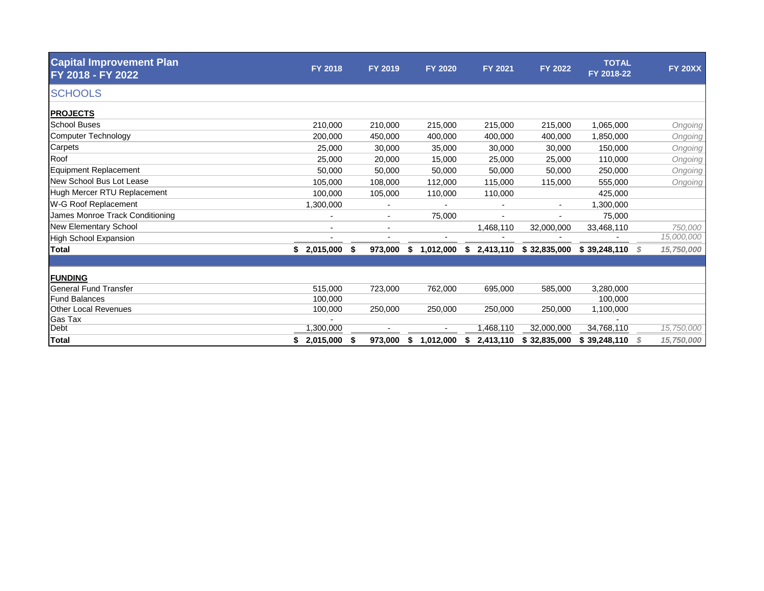| <b>Capital Improvement Plan</b><br>FY 2018 - FY 2022 | <b>FY 2018</b>           | FY 2019 | <b>FY 2020</b>  | FY 2021     | FY 2022                  | <b>TOTAL</b><br>FY 2018-22 |   | <b>FY 20XX</b> |
|------------------------------------------------------|--------------------------|---------|-----------------|-------------|--------------------------|----------------------------|---|----------------|
| <b>SCHOOLS</b>                                       |                          |         |                 |             |                          |                            |   |                |
| <b>PROJECTS</b>                                      |                          |         |                 |             |                          |                            |   |                |
| <b>School Buses</b>                                  | 210,000                  | 210,000 | 215,000         | 215,000     | 215,000                  | 1,065,000                  |   | Ongoing        |
| <b>Computer Technology</b>                           | 200,000                  | 450,000 | 400,000         | 400,000     | 400,000                  | 1,850,000                  |   | Ongoing        |
| Carpets                                              | 25,000                   | 30,000  | 35,000          | 30,000      | 30,000                   | 150,000                    |   | Ongoing        |
| Roof                                                 | 25,000                   | 20,000  | 15,000          | 25,000      | 25,000                   | 110,000                    |   | Ongoing        |
| <b>Equipment Replacement</b>                         | 50,000                   | 50,000  | 50,000          | 50,000      | 50,000                   | 250,000                    |   | Ongoing        |
| New School Bus Lot Lease                             | 105,000                  | 108,000 | 112,000         | 115,000     | 115,000                  | 555,000                    |   | Ongoing        |
| Hugh Mercer RTU Replacement                          | 100,000                  | 105,000 | 110,000         | 110,000     |                          | 425,000                    |   |                |
| W-G Roof Replacement                                 | 1,300,000                |         |                 |             | $\overline{\phantom{a}}$ | 1,300,000                  |   |                |
| James Monroe Track Conditioning                      | $\overline{\phantom{a}}$ | $\sim$  | 75,000          |             |                          | 75,000                     |   |                |
| <b>New Elementary School</b>                         | $\blacksquare$           |         |                 | 1,468,110   | 32,000,000               | 33,468,110                 |   | 750,000        |
| <b>High School Expansion</b>                         |                          |         |                 |             |                          |                            |   | 15,000,000     |
| <b>Total</b>                                         | $$2,015,000$ \$          | 973,000 | \$<br>1,012,000 | \$2,413,110 | \$32,835,000             | \$39,248,110               | S | 15,750,000     |
|                                                      |                          |         |                 |             |                          |                            |   |                |
| <b>FUNDING</b>                                       |                          |         |                 |             |                          |                            |   |                |
| <b>General Fund Transfer</b>                         | 515,000                  | 723,000 | 762,000         | 695,000     | 585,000                  | 3,280,000                  |   |                |
| <b>Fund Balances</b>                                 | 100,000                  |         |                 |             |                          | 100,000                    |   |                |
| <b>Other Local Revenues</b>                          | 100,000                  | 250,000 | 250,000         | 250,000     | 250,000                  | 1,100,000                  |   |                |
| Gas Tax                                              |                          |         |                 |             |                          |                            |   |                |
| Debt                                                 | 1,300,000                |         |                 | 1,468,110   | 32,000,000               | 34,768,110                 |   | 15,750,000     |
| <b>Total</b>                                         | 2,015,000                | 973,000 | \$<br>1,012,000 | 2,413,110   | \$32,835,000             | \$39,248,110               | S | 15,750,000     |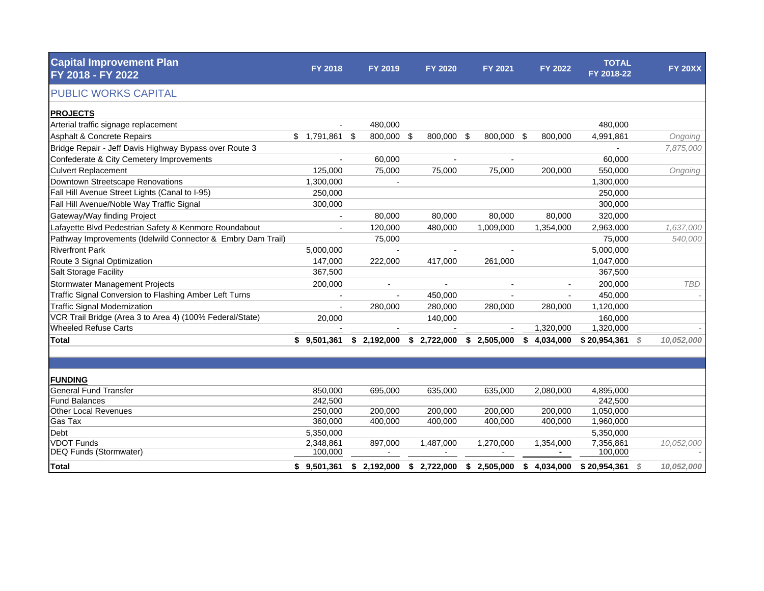| <b>Capital Improvement Plan</b><br>FY 2018 - FY 2022        | <b>FY 2018</b>                         | <b>FY 2019</b> |             | <b>FY 2020</b> | FY 2021                   | FY 2022     | <b>TOTAL</b><br>FY 2018-22 |    | <b>FY 20XX</b> |
|-------------------------------------------------------------|----------------------------------------|----------------|-------------|----------------|---------------------------|-------------|----------------------------|----|----------------|
| <b>PUBLIC WORKS CAPITAL</b>                                 |                                        |                |             |                |                           |             |                            |    |                |
| <b>PROJECTS</b>                                             |                                        |                |             |                |                           |             |                            |    |                |
| Arterial traffic signage replacement                        |                                        | 480,000        |             |                |                           |             | 480,000                    |    |                |
| <b>Asphalt &amp; Concrete Repairs</b>                       | $$1,791,861$ \$                        | 800,000 \$     |             | 800,000 \$     | 800,000 \$                | 800,000     | 4,991,861                  |    | Ongoing        |
| Bridge Repair - Jeff Davis Highway Bypass over Route 3      |                                        |                |             |                |                           |             |                            |    | 7,875,000      |
| Confederate & City Cemetery Improvements                    |                                        | 60,000         |             |                |                           |             | 60,000                     |    |                |
| <b>Culvert Replacement</b>                                  | 125.000                                | 75,000         |             | 75.000         | 75,000                    | 200,000     | 550,000                    |    | Ongoing        |
| Downtown Streetscape Renovations                            | 1,300,000                              |                |             |                |                           |             | 1,300,000                  |    |                |
| Fall Hill Avenue Street Lights (Canal to I-95)              | 250,000                                |                |             |                |                           |             | 250,000                    |    |                |
| Fall Hill Avenue/Noble Way Traffic Signal                   | 300,000                                |                |             |                |                           |             | 300,000                    |    |                |
| Gateway/Way finding Project                                 |                                        | 80,000         |             | 80,000         | 80,000                    | 80,000      | 320,000                    |    |                |
| Lafayette Blvd Pedestrian Safety & Kenmore Roundabout       |                                        | 120,000        |             | 480,000        | 1,009,000                 | 1,354,000   | 2,963,000                  |    | 1,637,000      |
| Pathway Improvements (Idelwild Connector & Embry Dam Trail) |                                        | 75,000         |             |                |                           |             | 75,000                     |    | 540,000        |
| <b>Riverfront Park</b>                                      | 5,000,000                              |                |             |                |                           |             | 5,000,000                  |    |                |
| Route 3 Signal Optimization                                 | 147,000                                | 222,000        |             | 417,000        | 261,000                   |             | 1,047,000                  |    |                |
| Salt Storage Facility                                       | 367,500                                |                |             |                |                           |             | 367,500                    |    |                |
| Stormwater Management Projects                              | 200,000                                |                |             |                |                           |             | 200,000                    |    | <b>TBD</b>     |
| Traffic Signal Conversion to Flashing Amber Left Turns      |                                        |                |             | 450,000        |                           |             | 450,000                    |    |                |
| <b>Traffic Signal Modernization</b>                         |                                        | 280,000        |             | 280,000        | 280,000                   | 280,000     | 1,120,000                  |    |                |
| VCR Trail Bridge (Area 3 to Area 4) (100% Federal/State)    | 20,000                                 |                |             | 140,000        |                           |             | 160,000                    |    |                |
| <b>Wheeled Refuse Carts</b>                                 |                                        |                |             |                |                           | 1,320,000   | 1,320,000                  |    |                |
| Total                                                       | $$9,501,361$ $$2,192,000$ $$2,722,000$ |                |             |                | $$2,505,000$ $$4,034,000$ |             | \$20,954,361               | S. | 10,052,000     |
|                                                             |                                        |                |             |                |                           |             |                            |    |                |
| <b>FUNDING</b>                                              |                                        |                |             |                |                           |             |                            |    |                |
| <b>General Fund Transfer</b>                                | 850,000                                | 695.000        |             | 635.000        | 635.000                   | 2,080,000   | 4,895,000                  |    |                |
| <b>Fund Balances</b>                                        | 242,500                                |                |             |                |                           |             | 242,500                    |    |                |
| <b>Other Local Revenues</b>                                 | 250,000                                | 200,000        |             | 200,000        | 200,000                   | 200,000     | 1,050,000                  |    |                |
| Gas Tax                                                     | 360,000                                | 400,000        |             | 400,000        | 400,000                   | 400,000     | 1,960,000                  |    |                |
| Debt                                                        | 5,350,000                              |                |             |                |                           |             | 5,350,000                  |    |                |
| <b>VDOT Funds</b>                                           | 2,348,861                              | 897,000        |             | 1,487,000      | 1,270,000                 | 1,354,000   | 7,356,861                  |    | 10,052,000     |
| <b>DEQ Funds (Stormwater)</b>                               | 100,000                                | $\blacksquare$ |             |                | $\overline{\phantom{a}}$  | ٠           | 100,000                    |    |                |
| <b>Total</b>                                                | \$9,501,361                            | \$2,192,000    | \$2,722,000 |                | \$2,505,000               | \$4,034,000 | \$20,954,361               | \$ | 10,052,000     |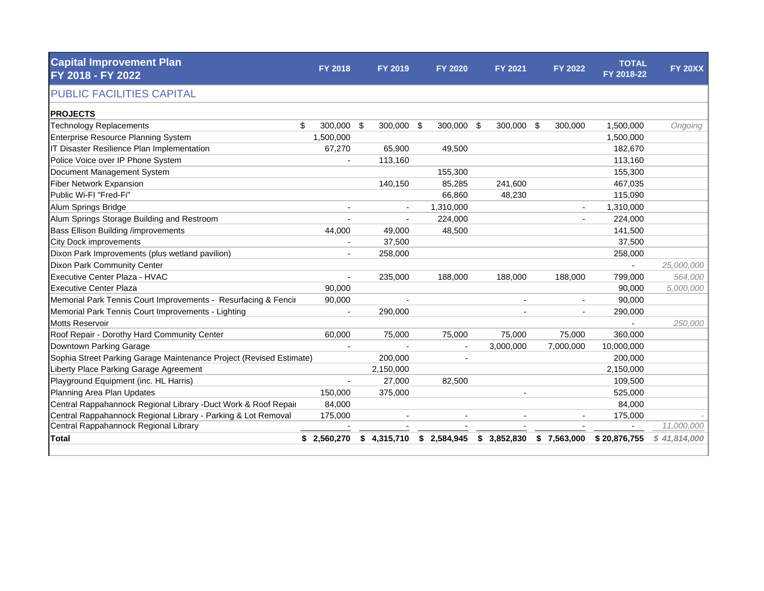| <b>Capital Improvement Plan</b><br>FY 2018 - FY 2022                | <b>FY 2018</b> | FY 2019                  | <b>FY 2020</b> | <b>FY 2021</b>           | <b>FY 2022</b> | <b>TOTAL</b><br>FY 2018-22 | <b>FY 20XX</b> |
|---------------------------------------------------------------------|----------------|--------------------------|----------------|--------------------------|----------------|----------------------------|----------------|
| <b>PUBLIC FACILITIES CAPITAL</b>                                    |                |                          |                |                          |                |                            |                |
| <b>PROJECTS</b>                                                     |                |                          |                |                          |                |                            |                |
| <b>Technology Replacements</b><br>\$                                | 300,000 \$     | 300,000 \$               | 300,000        | - \$<br>300,000 \$       | 300,000        | 1,500,000                  | Ongoing        |
| Enterprise Resource Planning System                                 | 1,500,000      |                          |                |                          |                | 1,500,000                  |                |
| IT Disaster Resilience Plan Implementation                          | 67,270         | 65,900                   | 49.500         |                          |                | 182,670                    |                |
| Police Voice over IP Phone System                                   |                | 113,160                  |                |                          |                | 113,160                    |                |
| Document Management System                                          |                |                          | 155,300        |                          |                | 155,300                    |                |
| <b>Fiber Network Expansion</b>                                      |                | 140,150                  | 85,285         | 241,600                  |                | 467,035                    |                |
| Public Wi-FI "Fred-Fi"                                              |                |                          | 66,860         | 48,230                   |                | 115,090                    |                |
| Alum Springs Bridge                                                 | $\blacksquare$ |                          | 1,310,000      |                          | $\blacksquare$ | 1,310,000                  |                |
| Alum Springs Storage Building and Restroom                          | $\sim$         | $\overline{a}$           | 224,000        |                          | $\sim$         | 224,000                    |                |
| Bass Ellison Building /improvements                                 | 44.000         | 49,000                   | 48.500         |                          |                | 141,500                    |                |
| <b>City Dock improvements</b>                                       |                | 37,500                   |                |                          |                | 37,500                     |                |
| Dixon Park Improvements (plus wetland pavilion)                     |                | 258,000                  |                |                          |                | 258,000                    |                |
| Dixon Park Community Center                                         |                |                          |                |                          |                | $\overline{\phantom{a}}$   | 25,000,000     |
| Executive Center Plaza - HVAC                                       |                | 235,000                  | 188,000        | 188,000                  | 188,000        | 799,000                    | 564,000        |
| <b>Executive Center Plaza</b>                                       | 90.000         |                          |                |                          |                | 90.000                     | 5,000,000      |
| Memorial Park Tennis Court Improvements - Resurfacing & Fencir      | 90,000         | $\overline{\phantom{a}}$ |                |                          |                | 90,000                     |                |
| Memorial Park Tennis Court Improvements - Lighting                  | $\blacksquare$ | 290,000                  |                |                          |                | 290,000                    |                |
| <b>Motts Reservoir</b>                                              |                |                          |                |                          |                | $\sim$                     | 250,000        |
| Roof Repair - Dorothy Hard Community Center                         | 60.000         | 75.000                   | 75,000         | 75,000                   | 75,000         | 360,000                    |                |
| Downtown Parking Garage                                             |                |                          |                | 3,000,000                | 7,000,000      | 10,000,000                 |                |
| Sophia Street Parking Garage Maintenance Project (Revised Estimate) |                | 200,000                  |                |                          |                | 200,000                    |                |
| Liberty Place Parking Garage Agreement                              |                | 2,150,000                |                |                          |                | 2,150,000                  |                |
| Playground Equipment (inc. HL Harris)                               |                | 27.000                   | 82.500         |                          |                | 109,500                    |                |
| Planning Area Plan Updates                                          | 150,000        | 375,000                  |                |                          |                | 525,000                    |                |
| Central Rappahannock Regional Library -Duct Work & Roof Repair      | 84,000         |                          |                |                          |                | 84,000                     |                |
| Central Rappahannock Regional Library - Parking & Lot Removal       | 175,000        | $\blacksquare$           |                | $\overline{\phantom{a}}$ |                | 175,000                    |                |
| Central Rappahannock Regional Library                               |                |                          |                |                          |                |                            | 11,000,000     |
| <b>Total</b>                                                        | \$2,560,270    | \$4,315,710              | \$2,584,945    | \$3,852,830              | \$7,563,000    | \$20,876,755               | \$41,814,000   |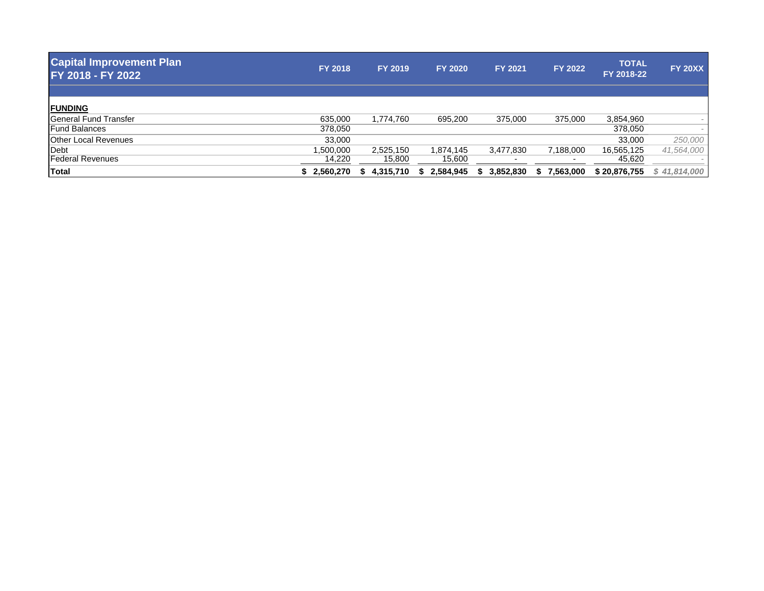| <b>Capital Improvement Plan</b><br>FY 2018 - FY 2022 | <b>FY 2018</b> | <b>FY 2019</b> | <b>FY 2020</b> | <b>FY 2021</b> | FY 2022           | <b>TOTAL</b><br>FY 2018-22 | <b>FY 20XX</b> |
|------------------------------------------------------|----------------|----------------|----------------|----------------|-------------------|----------------------------|----------------|
|                                                      |                |                |                |                |                   |                            |                |
| <b>FUNDING</b>                                       |                |                |                |                |                   |                            |                |
| <b>General Fund Transfer</b>                         | 635,000        | 1,774,760      | 695,200        | 375,000        | 375,000           | 3,854,960                  |                |
| <b>Fund Balances</b>                                 | 378,050        |                |                |                |                   | 378,050                    | $\sim$         |
| <b>Other Local Revenues</b>                          | 33,000         |                |                |                |                   | 33,000                     | 250,000        |
| Debt                                                 | ,500,000       | 2,525,150      | 1,874,145      | 3,477,830      | 7,188,000         | 16,565,125                 | 41,564,000     |
| <b>Federal Revenues</b>                              | 14,220         | 15,800         | 15,600         |                |                   | 45,620                     |                |
| Total                                                | \$2.560.270    | 4,315,710      | 2,584,945      | 3,852,830      | 7,563,000<br>- \$ | \$20,876,755               | \$41,814,000   |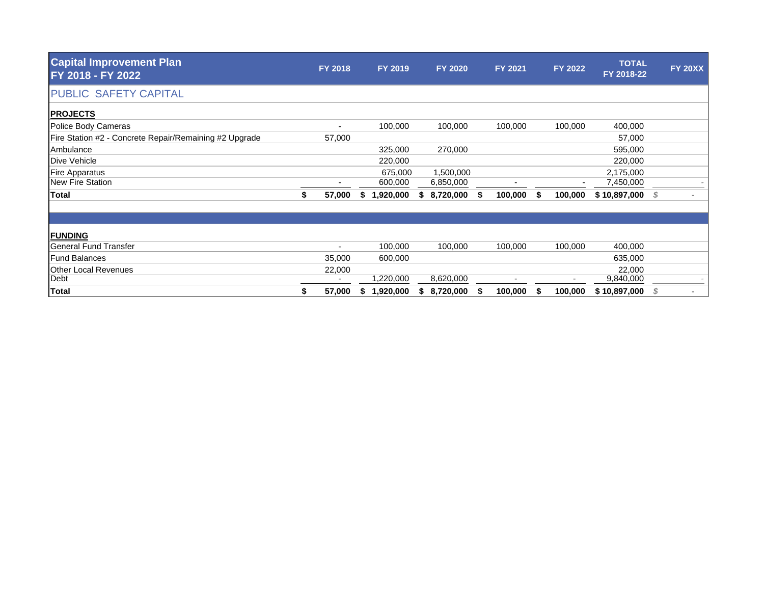| <b>Capital Improvement Plan</b><br>FY 2018 - FY 2022   | FY 2018      |   | FY 2019   |    | <b>FY 2020</b> |   | FY 2021 |    | FY 2022 | <b>TOTAL</b><br>FY 2018-22 |   | <b>FY 20XX</b> |
|--------------------------------------------------------|--------------|---|-----------|----|----------------|---|---------|----|---------|----------------------------|---|----------------|
| PUBLIC SAFETY CAPITAL                                  |              |   |           |    |                |   |         |    |         |                            |   |                |
| <b>PROJECTS</b>                                        |              |   |           |    |                |   |         |    |         |                            |   |                |
| Police Body Cameras                                    | ٠            |   | 100,000   |    | 100,000        |   | 100,000 |    | 100,000 | 400,000                    |   |                |
| Fire Station #2 - Concrete Repair/Remaining #2 Upgrade | 57,000       |   |           |    |                |   |         |    |         | 57,000                     |   |                |
| Ambulance                                              |              |   | 325,000   |    | 270,000        |   |         |    |         | 595,000                    |   |                |
| Dive Vehicle                                           |              |   | 220,000   |    |                |   |         |    |         | 220,000                    |   |                |
| <b>Fire Apparatus</b>                                  |              |   | 675,000   |    | 1,500,000      |   |         |    |         | 2,175,000                  |   |                |
| New Fire Station                                       |              |   | 600,000   |    | 6,850,000      |   |         |    |         | 7,450,000                  |   |                |
| <b>Total</b>                                           | \$<br>57,000 | S | 1,920,000 | S. | 8,720,000      | S | 100,000 | S. | 100,000 | \$10,897,000               | S |                |
|                                                        |              |   |           |    |                |   |         |    |         |                            |   |                |
| <b>FUNDING</b>                                         |              |   |           |    |                |   |         |    |         |                            |   |                |
| <b>General Fund Transfer</b>                           | ٠            |   | 100,000   |    | 100,000        |   | 100,000 |    | 100,000 | 400,000                    |   |                |
| <b>Fund Balances</b>                                   | 35,000       |   | 600,000   |    |                |   |         |    |         | 635,000                    |   |                |
| <b>Other Local Revenues</b>                            | 22,000       |   |           |    |                |   |         |    |         | 22,000                     |   |                |
| Debt                                                   |              |   | ,220,000  |    | 8,620,000      |   |         |    |         | 9,840,000                  |   |                |
| <b>Total</b>                                           | 57,000       |   | 1,920,000 |    | 8,720,000      |   | 100,000 |    | 100,000 | \$10,897,000               |   |                |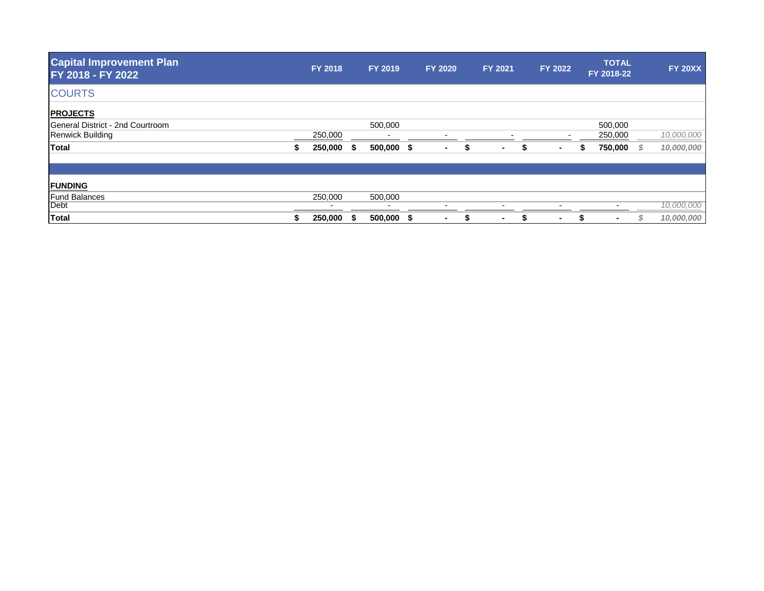| <b>FY 2018</b> |         | FY 2019                  |         |                          |                | <b>FY 2021</b> |   | <b>FY 2022</b>           |   | <b>TOTAL</b> |            | <b>FY 20XX</b> |
|----------------|---------|--------------------------|---------|--------------------------|----------------|----------------|---|--------------------------|---|--------------|------------|----------------|
|                |         |                          |         |                          |                |                |   |                          |   |              |            |                |
|                |         |                          |         |                          |                |                |   |                          |   |              |            |                |
|                |         | 500,000                  |         |                          |                |                |   |                          |   | 500,000      |            |                |
| 250,000        |         | $\overline{\phantom{a}}$ |         | $\overline{\phantom{0}}$ |                |                |   | $\overline{\phantom{0}}$ |   | 250,000      |            | 10,000,000     |
| 250,000        | - \$    |                          |         | ۰.                       |                | $\sim$         | э | $\blacksquare$           | S | 750,000      | - \$       | 10,000,000     |
|                |         |                          |         |                          |                |                |   |                          |   |              |            |                |
|                |         |                          |         |                          |                |                |   |                          |   |              |            |                |
|                |         | $\overline{\phantom{0}}$ |         |                          |                | $\blacksquare$ |   | $\blacksquare$           |   |              |            | 10,000,000     |
|                |         |                          |         |                          |                |                |   |                          |   |              |            |                |
|                | 250,000 |                          | 500,000 | $500,000$ \$             | <b>FY 2020</b> |                |   |                          |   |              | FY 2018-22 |                |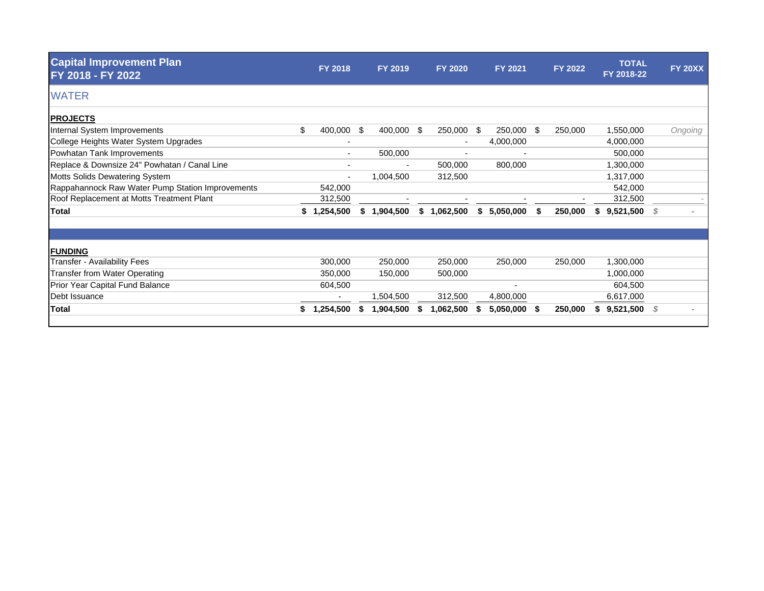| <b>Capital Improvement Plan</b><br>FY 2018 - FY 2022 |    | FY 2018                  | FY 2019       |    | <b>FY 2020</b> |     | FY 2021   |     | FY 2022 |    | <b>TOTAL</b><br>FY 2018-22 |      | <b>FY 20XX</b> |
|------------------------------------------------------|----|--------------------------|---------------|----|----------------|-----|-----------|-----|---------|----|----------------------------|------|----------------|
| <b>WATER</b>                                         |    |                          |               |    |                |     |           |     |         |    |                            |      |                |
| <b>PROJECTS</b>                                      |    |                          |               |    |                |     |           |     |         |    |                            |      |                |
| Internal System Improvements                         | \$ | 400,000                  | \$<br>400,000 | -S | 250,000        | -\$ | 250,000   | \$  | 250,000 |    | 1,550,000                  |      | Ongoing        |
| College Heights Water System Upgrades                |    | ٠                        |               |    | ٠              |     | 4,000,000 |     |         |    | 4,000,000                  |      |                |
| Powhatan Tank Improvements                           |    | ۰.                       | 500,000       |    |                |     |           |     |         |    | 500,000                    |      |                |
| Replace & Downsize 24" Powhatan / Canal Line         |    | $\overline{\phantom{a}}$ |               |    | 500,000        |     | 800,000   |     |         |    | 1,300,000                  |      |                |
| Motts Solids Dewatering System                       |    | ٠                        | 1,004,500     |    | 312,500        |     |           |     |         |    | 1,317,000                  |      |                |
| Rappahannock Raw Water Pump Station Improvements     |    | 542,000                  |               |    |                |     |           |     |         |    | 542,000                    |      |                |
| Roof Replacement at Motts Treatment Plant            |    | 312,500                  |               |    |                |     |           |     |         |    | 312,500                    |      |                |
| <b>Total</b>                                         | \$ | ,254,500                 | \$1,904,500   | \$ | 1,062,500      | S.  | 5,050,000 |     | 250,000 | S. | 9,521,500                  | - \$ |                |
|                                                      |    |                          |               |    |                |     |           |     |         |    |                            |      |                |
| <b>FUNDING</b>                                       |    |                          |               |    |                |     |           |     |         |    |                            |      |                |
| Transfer - Availability Fees                         |    | 300,000                  | 250,000       |    | 250,000        |     | 250,000   |     | 250,000 |    | 1,300,000                  |      |                |
| <b>Transfer from Water Operating</b>                 |    | 350,000                  | 150,000       |    | 500,000        |     |           |     |         |    | 1,000,000                  |      |                |
| Prior Year Capital Fund Balance                      |    | 604,500                  |               |    |                |     |           |     |         |    | 604,500                    |      |                |
| Debt Issuance                                        |    |                          | 1,504,500     |    | 312,500        |     | 4,800,000 |     |         |    | 6,617,000                  |      |                |
| <b>Total</b>                                         | S. | .254,500                 | 1,904,500     |    | 1,062,500      |     | 5,050,000 | \$. | 250,000 |    | \$9,521,500                | - S  |                |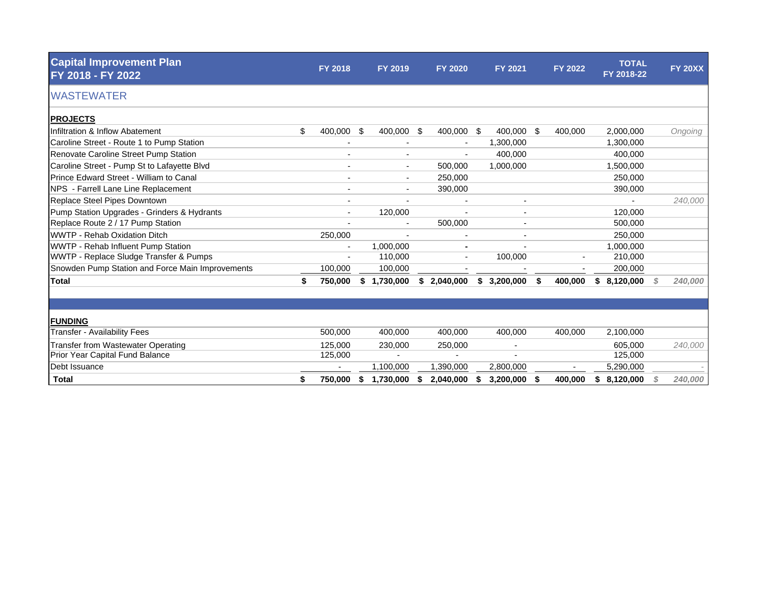| <b>Capital Improvement Plan</b><br>FY 2018 - FY 2022 | <b>FY 2018</b>           |     | FY 2019                  |   | <b>FY 2020</b> | FY 2021                  |      | <b>FY 2022</b> |    | <b>TOTAL</b><br>FY 2018-22 | <b>FY 20XX</b> |
|------------------------------------------------------|--------------------------|-----|--------------------------|---|----------------|--------------------------|------|----------------|----|----------------------------|----------------|
| <b>WASTEWATER</b>                                    |                          |     |                          |   |                |                          |      |                |    |                            |                |
| <b>PROJECTS</b>                                      |                          |     |                          |   |                |                          |      |                |    |                            |                |
| Infiltration & Inflow Abatement                      | \$<br>400,000            | -\$ | 400,000 \$               |   | 400,000 \$     | 400,000                  | - \$ | 400,000        |    | 2,000,000                  | Ongoing        |
| Caroline Street - Route 1 to Pump Station            |                          |     |                          |   |                | 1,300,000                |      |                |    | 1,300,000                  |                |
| <b>Renovate Caroline Street Pump Station</b>         |                          |     | $\blacksquare$           |   |                | 400,000                  |      |                |    | 400,000                    |                |
| Caroline Street - Pump St to Lafayette Blvd          | $\overline{\phantom{0}}$ |     | $\sim$                   |   | 500,000        | 1,000,000                |      |                |    | 1,500,000                  |                |
| Prince Edward Street - William to Canal              |                          |     | $\blacksquare$           |   | 250,000        |                          |      |                |    | 250,000                    |                |
| NPS - Farrell Lane Line Replacement                  |                          |     | $\blacksquare$           |   | 390,000        |                          |      |                |    | 390,000                    |                |
| Replace Steel Pipes Downtown                         | ٠                        |     | $\overline{\phantom{a}}$ |   |                |                          |      |                |    |                            | 240,000        |
| Pump Station Upgrades - Grinders & Hydrants          |                          |     | 120,000                  |   |                |                          |      |                |    | 120,000                    |                |
| Replace Route 2 / 17 Pump Station                    |                          |     | $\overline{\phantom{a}}$ |   | 500,000        |                          |      |                |    | 500,000                    |                |
| <b>WWTP - Rehab Oxidation Ditch</b>                  | 250,000                  |     |                          |   |                |                          |      |                |    | 250,000                    |                |
| WWTP - Rehab Influent Pump Station                   |                          |     | 1,000,000                |   |                |                          |      |                |    | 1,000,000                  |                |
| WWTP - Replace Sludge Transfer & Pumps               |                          |     | 110,000                  |   |                | 100,000                  |      |                |    | 210,000                    |                |
| Snowden Pump Station and Force Main Improvements     | 100,000                  |     | 100,000                  |   |                |                          |      |                |    | 200,000                    |                |
| <b>Total</b>                                         | \$<br>750,000            | \$  | 1,730,000                |   | \$2,040,000    | 3,200,000<br>\$          | S.   | 400,000        | S. | 8,120,000                  | 240,000        |
|                                                      |                          |     |                          |   |                |                          |      |                |    |                            |                |
| <b>FUNDING</b>                                       |                          |     |                          |   |                |                          |      |                |    |                            |                |
| <b>Transfer - Availability Fees</b>                  | 500,000                  |     | 400,000                  |   | 400,000        | 400,000                  |      | 400,000        |    | 2,100,000                  |                |
| <b>Transfer from Wastewater Operating</b>            | 125.000                  |     | 230,000                  |   | 250,000        | $\overline{\phantom{a}}$ |      |                |    | 605,000                    | 240,000        |
| Prior Year Capital Fund Balance                      | 125,000                  |     |                          |   |                |                          |      |                |    | 125,000                    |                |
| Debt Issuance                                        |                          |     | 1,100,000                |   | 1,390,000      | 2,800,000                |      |                |    | 5,290,000                  |                |
| <b>Total</b>                                         | \$<br>750.000            | \$  | 1.730.000                | S | 2.040.000      | 3.200.000<br>S           |      | 400.000        | \$ | 8.120.000                  | 240,000        |